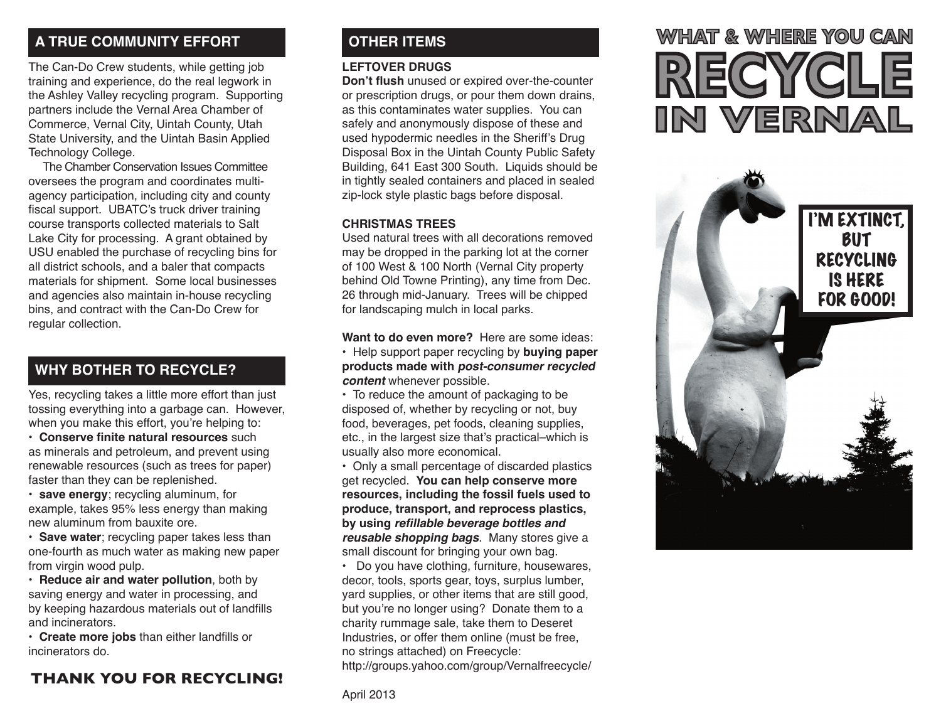# **A TRUE COMMUNITY EFFORT OTHER ITEMS**

The Can-Do Crew students, while getting job training and experience, do the real legwork in the Ashley Valley recycling program. Supporting partners include the Vernal Area Chamber of Commerce, Vernal City, Uintah County, Utah State University, and the Uintah Basin Applied Technology College.

The Chamber Conservation Issues Committee oversees the program and coordinates multiagency participation, including city and county fiscal support. UBATC's truck driver training course transports collected materials to Salt Lake City for processing. A grant obtained by USU enabled the purchase of recycling bins for all district schools, and a baler that compacts materials for shipment. Some local businesses and agencies also maintain in-house recycling bins, and contract with the Can-Do Crew for regular collection.

# **WHY BOTHER TO RECYCLE?**

Yes, recycling takes a little more effort than just tossing everything into a garbage can. However, when you make this effort, you're helping to:

- **Conserve finite natural resources** such as minerals and petroleum, and prevent using renewable resources (such as trees for paper) faster than they can be replenished.
- **save energy**; recycling aluminum, for example, takes 95% less energy than making new aluminum from bauxite ore.

**• Save water**; recycling paper takes less than one-fourth as much water as making new paper from virgin wood pulp.

• **Reduce air and water pollution**, both by saving energy and water in processing, and by keeping hazardous materials out of landfills and incinerators.

• **Create more jobs** than either landfills or incinerators do.

# **THANK YOU FOR RECYCLING!**

#### **LEFTOVER DRUGS**

**Don't flush** unused or expired over-the-counter or prescription drugs, or pour them down drains, as this contaminates water supplies. You can safely and anonymously dispose of these and used hypodermic needles in the Sheriff's Drug Disposal Box in the Uintah County Public Safety Building, 641 East 300 South. Liquids should be in tightly sealed containers and placed in sealed zip-lock style plastic bags before disposal.

#### **CHRISTMAS TREES**

Used natural trees with all decorations removed may be dropped in the parking lot at the corner of 100 West & 100 North (Vernal City property behind Old Towne Printing), any time from Dec. 26 through mid-January. Trees will be chipped for landscaping mulch in local parks.

**Want to do even more?** Here are some ideas:

• Help support paper recycling by **buying paper products made with post-consumer recycled content** whenever possible.

• To reduce the amount of packaging to be disposed of, whether by recycling or not, buy food, beverages, pet foods, cleaning supplies, etc., in the largest size that's practical–which is usually also more economical.

• Only a small percentage of discarded plastics get recycled. **You can help conserve more resources, including the fossil fuels used to produce, transport, and reprocess plastics, by using refillable beverage bottles and reusable shopping bags**. Many stores give a small discount for bringing your own bag.

• Do you have clothing, furniture, housewares, decor, tools, sports gear, toys, surplus lumber, yard supplies, or other items that are still good, but you're no longer using? Donate them to a charity rummage sale, take them to Deseret Industries, or offer them online (must be free, no strings attached) on Freecycle: http://groups.yahoo.com/group/Vernalfreecycle /

# WHAT & WHERE YOU CAN IN VERNAL